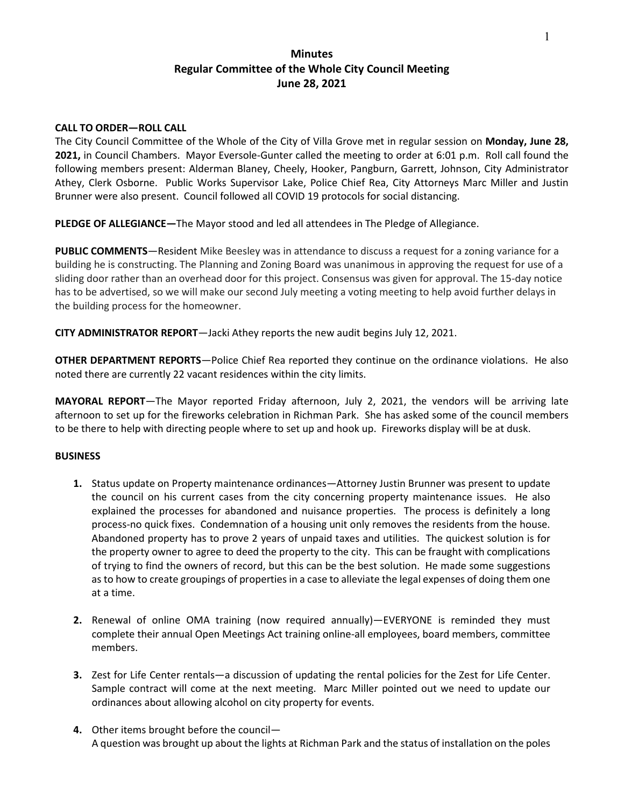## **Minutes Regular Committee of the Whole City Council Meeting June 28, 2021**

## **CALL TO ORDER—ROLL CALL**

The City Council Committee of the Whole of the City of Villa Grove met in regular session on **Monday, June 28, 2021,** in Council Chambers. Mayor Eversole-Gunter called the meeting to order at 6:01 p.m. Roll call found the following members present: Alderman Blaney, Cheely, Hooker, Pangburn, Garrett, Johnson, City Administrator Athey, Clerk Osborne. Public Works Supervisor Lake, Police Chief Rea, City Attorneys Marc Miller and Justin Brunner were also present. Council followed all COVID 19 protocols for social distancing.

**PLEDGE OF ALLEGIANCE—**The Mayor stood and led all attendees in The Pledge of Allegiance.

**PUBLIC COMMENTS**—Resident Mike Beesley was in attendance to discuss a request for a zoning variance for a building he is constructing. The Planning and Zoning Board was unanimous in approving the request for use of a sliding door rather than an overhead door for this project. Consensus was given for approval. The 15-day notice has to be advertised, so we will make our second July meeting a voting meeting to help avoid further delays in the building process for the homeowner.

**CITY ADMINISTRATOR REPORT**—Jacki Athey reports the new audit begins July 12, 2021.

**OTHER DEPARTMENT REPORTS**—Police Chief Rea reported they continue on the ordinance violations. He also noted there are currently 22 vacant residences within the city limits.

**MAYORAL REPORT**—The Mayor reported Friday afternoon, July 2, 2021, the vendors will be arriving late afternoon to set up for the fireworks celebration in Richman Park. She has asked some of the council members to be there to help with directing people where to set up and hook up. Fireworks display will be at dusk.

## **BUSINESS**

- **1.** Status update on Property maintenance ordinances—Attorney Justin Brunner was present to update the council on his current cases from the city concerning property maintenance issues. He also explained the processes for abandoned and nuisance properties. The process is definitely a long process-no quick fixes. Condemnation of a housing unit only removes the residents from the house. Abandoned property has to prove 2 years of unpaid taxes and utilities. The quickest solution is for the property owner to agree to deed the property to the city. This can be fraught with complications of trying to find the owners of record, but this can be the best solution. He made some suggestions as to how to create groupings of properties in a case to alleviate the legal expenses of doing them one at a time.
- **2.** Renewal of online OMA training (now required annually)—EVERYONE is reminded they must complete their annual Open Meetings Act training online-all employees, board members, committee members.
- **3.** Zest for Life Center rentals—a discussion of updating the rental policies for the Zest for Life Center. Sample contract will come at the next meeting. Marc Miller pointed out we need to update our ordinances about allowing alcohol on city property for events.
- **4.** Other items brought before the council— A question was brought up about the lights at Richman Park and the status of installation on the poles